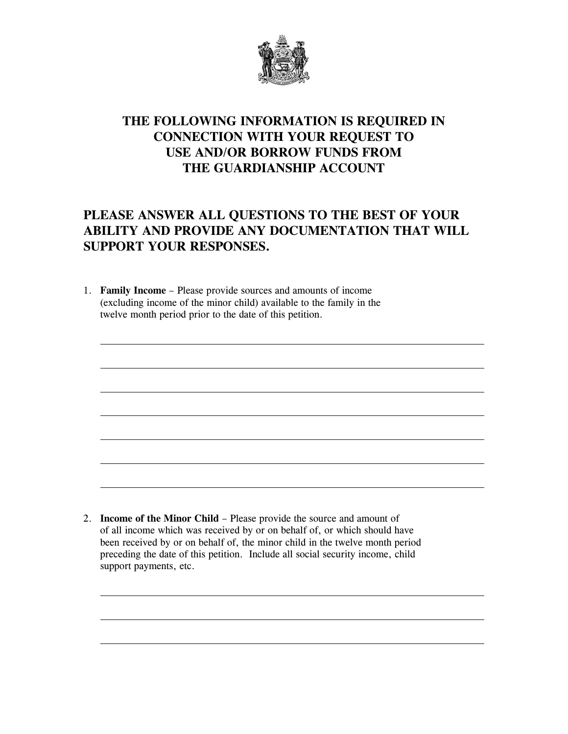

## **THE FOLLOWING INFORMATION IS REQUIRED IN CONNECTION WITH YOUR REQUEST TO USE AND/OR BORROW FUNDS FROM THE GUARDIANSHIP ACCOUNT**

## **PLEASE ANSWER ALL QUESTIONS TO THE BEST OF YOUR ABILITY AND PROVIDE ANY DOCUMENTATION THAT WILL SUPPORT YOUR RESPONSES.**

1. **Family Income** – Please provide sources and amounts of income (excluding income of the minor child) available to the family in the twelve month period prior to the date of this petition.

2. **Income of the Minor Child** – Please provide the source and amount of of all income which was received by or on behalf of, or which should have been received by or on behalf of, the minor child in the twelve month period preceding the date of this petition. Include all social security income, child support payments, etc.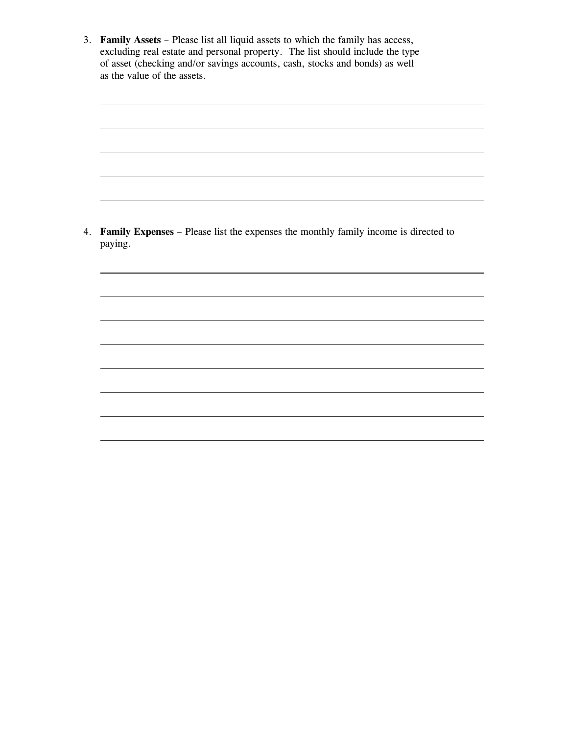3. **Family Assets** – Please list all liquid assets to which the family has access, excluding real estate and personal property. The list should include the type of asset (checking and/or savings accounts, cash, stocks and bonds) as well as the value of the assets.

<u> 1989 - Johann Stoff, deutscher Stoffen und der Stoffen und der Stoffen und der Stoffen und der Stoffen und der</u>

<u> 1989 - Johann Barbara, martin amerikan basar dan basa dan basa dan basa dan basa dan basa dan basa dan basa</u>

<u> 1989 - Johann Stoff, deutscher Stoffen und der Stoffen und der Stoffen und der Stoffen und der Stoffen und der</u>

<u> 1989 - Johann Stoff, deutscher Stoffen und der Stoffen und der Stoffen und der Stoffen und der Stoffen und der</u>

4. **Family Expenses** – Please list the expenses the monthly family income is directed to paying.